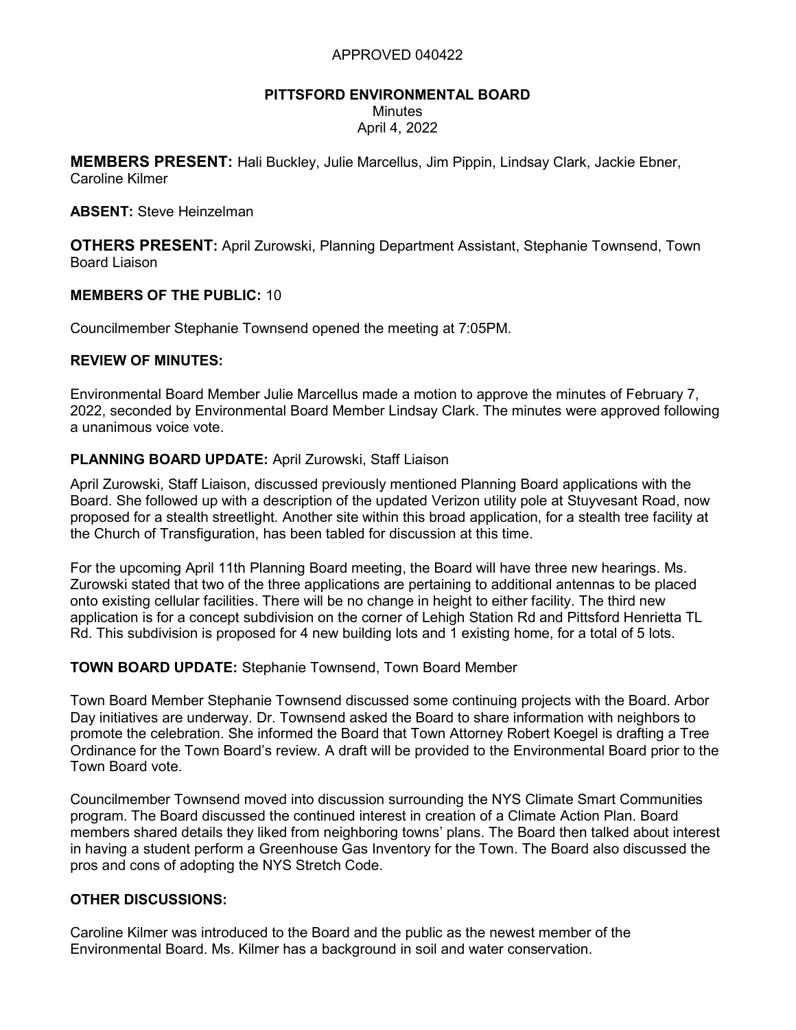#### APPROVED 040422

# PITTSFORD ENVIRONMENTAL BOARD

**Minutes** 

April 4, 2022

**MEMBERS PRESENT:** Hali Buckley, Julie Marcellus, Jim Pippin, Lindsay Clark, Jackie Ebner, Caroline Kilmer

ABSENT: Steve Heinzelman

OTHERS PRESENT: April Zurowski, Planning Department Assistant, Stephanie Townsend, Town Board Liaison

## MEMBERS OF THE PUBLIC: 10

Councilmember Stephanie Townsend opened the meeting at 7:05PM.

#### REVIEW OF MINUTES:

Environmental Board Member Julie Marcellus made a motion to approve the minutes of February 7, 2022, seconded by Environmental Board Member Lindsay Clark. The minutes were approved following a unanimous voice vote.

## PLANNING BOARD UPDATE: April Zurowski, Staff Liaison

April Zurowski, Staff Liaison, discussed previously mentioned Planning Board applications with the Board. She followed up with a description of the updated Verizon utility pole at Stuyvesant Road, now proposed for a stealth streetlight. Another site within this broad application, for a stealth tree facility at the Church of Transfiguration, has been tabled for discussion at this time.

For the upcoming April 11th Planning Board meeting, the Board will have three new hearings. Ms. Zurowski stated that two of the three applications are pertaining to additional antennas to be placed onto existing cellular facilities. There will be no change in height to either facility. The third new application is for a concept subdivision on the corner of Lehigh Station Rd and Pittsford Henrietta TL Rd. This subdivision is proposed for 4 new building lots and 1 existing home, for a total of 5 lots.

## TOWN BOARD UPDATE: Stephanie Townsend, Town Board Member

Town Board Member Stephanie Townsend discussed some continuing projects with the Board. Arbor Day initiatives are underway. Dr. Townsend asked the Board to share information with neighbors to promote the celebration. She informed the Board that Town Attorney Robert Koegel is drafting a Tree Ordinance for the Town Board's review. A draft will be provided to the Environmental Board prior to the Town Board vote.

Councilmember Townsend moved into discussion surrounding the NYS Climate Smart Communities program. The Board discussed the continued interest in creation of a Climate Action Plan. Board members shared details they liked from neighboring towns' plans. The Board then talked about interest in having a student perform a Greenhouse Gas Inventory for the Town. The Board also discussed the pros and cons of adopting the NYS Stretch Code.

## OTHER DISCUSSIONS:

Caroline Kilmer was introduced to the Board and the public as the newest member of the Environmental Board. Ms. Kilmer has a background in soil and water conservation.